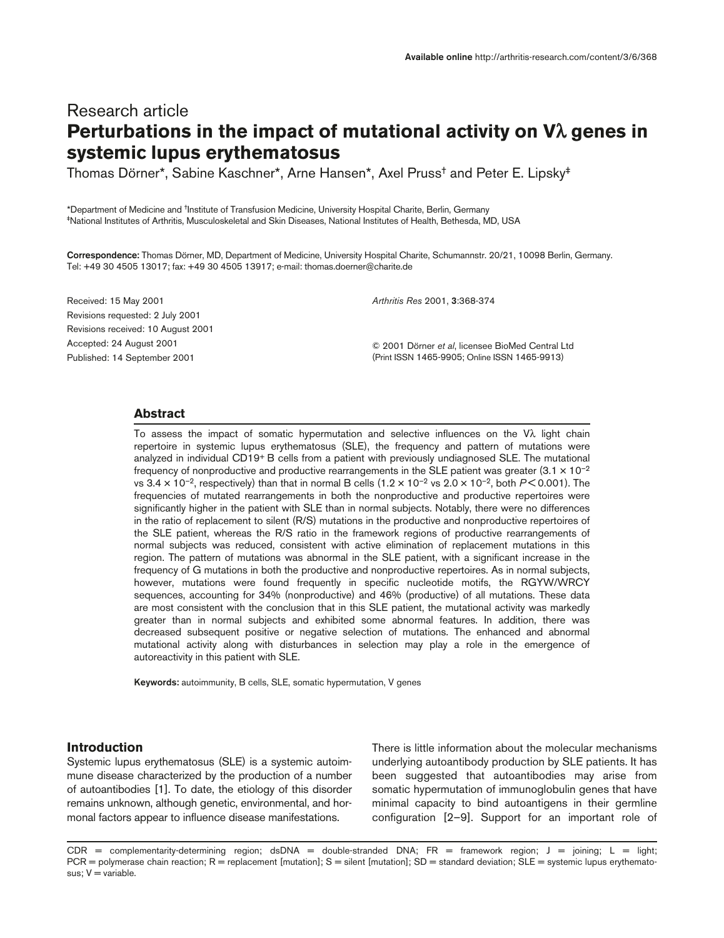## Research article **Perturbations in the impact of mutational activity on V**λ **genes in systemic lupus erythematosus**

Thomas Dörner\*, Sabine Kaschner\*, Arne Hansen\*, Axel Pruss† and Peter E. Lipsky‡

\*Department of Medicine and †Institute of Transfusion Medicine, University Hospital Charite, Berlin, Germany ‡National Institutes of Arthritis, Musculoskeletal and Skin Diseases, National Institutes of Health, Bethesda, MD, USA

**Correspondence:** Thomas Dörner, MD, Department of Medicine, University Hospital Charite, Schumannstr. 20/21, 10098 Berlin, Germany. Tel: +49 30 4505 13017; fax: +49 30 4505 13917; e-mail: thomas.doerner@charite.de

Received: 15 May 2001 Revisions requested: 2 July 2001 Revisions received: 10 August 2001 Accepted: 24 August 2001 Published: 14 September 2001

*Arthritis Res* 2001, **3**:368-374

© 2001 Dörner *et al*, licensee BioMed Central Ltd (Print ISSN 1465-9905; Online ISSN 1465-9913)

## **Abstract**

To assess the impact of somatic hypermutation and selective influences on the Vλ light chain repertoire in systemic lupus erythematosus (SLE), the frequency and pattern of mutations were analyzed in individual CD19+ B cells from a patient with previously undiagnosed SLE. The mutational frequency of nonproductive and productive rearrangements in the SLE patient was greater  $(3.1 \times 10^{-2}$ vs  $3.4 \times 10^{-2}$ , respectively) than that in normal B cells  $(1.2 \times 10^{-2} \text{ vs } 2.0 \times 10^{-2} \text{, both } P < 0.001)$ . The frequencies of mutated rearrangements in both the nonproductive and productive repertoires were significantly higher in the patient with SLE than in normal subjects. Notably, there were no differences in the ratio of replacement to silent (R/S) mutations in the productive and nonproductive repertoires of the SLE patient, whereas the R/S ratio in the framework regions of productive rearrangements of normal subjects was reduced, consistent with active elimination of replacement mutations in this region. The pattern of mutations was abnormal in the SLE patient, with a significant increase in the frequency of G mutations in both the productive and nonproductive repertoires. As in normal subjects, however, mutations were found frequently in specific nucleotide motifs, the RGYW/WRCY sequences, accounting for 34% (nonproductive) and 46% (productive) of all mutations. These data are most consistent with the conclusion that in this SLE patient, the mutational activity was markedly greater than in normal subjects and exhibited some abnormal features. In addition, there was decreased subsequent positive or negative selection of mutations. The enhanced and abnormal mutational activity along with disturbances in selection may play a role in the emergence of autoreactivity in this patient with SLE.

**Keywords:** autoimmunity, B cells, SLE, somatic hypermutation, V genes

## **Introduction**

Systemic lupus erythematosus (SLE) is a systemic autoimmune disease characterized by the production of a number of autoantibodies [1]. To date, the etiology of this disorder remains unknown, although genetic, environmental, and hormonal factors appear to influence disease manifestations.

There is little information about the molecular mechanisms underlying autoantibody production by SLE patients. It has been suggested that autoantibodies may arise from somatic hypermutation of immunoglobulin genes that have minimal capacity to bind autoantigens in their germline configuration [2–9]. Support for an important role of

 $CDR =$  complementarity-determining region; dsDNA = double-stranded DNA; FR = framework region; J = joining; L = light;  $PCR = polymerase chain reaction; R = replacement [mutation]; S = silent [mutation]; SD = standard deviation; SLE = systemic lupus erythemato$ sus;  $V =$  variable.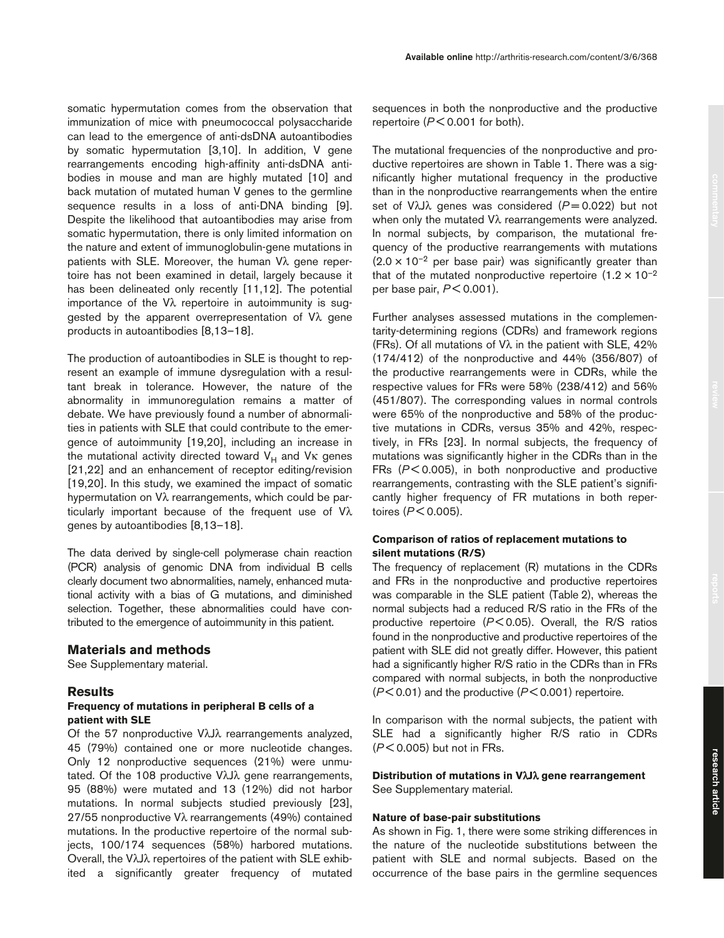somatic hypermutation comes from the observation that immunization of mice with pneumococcal polysaccharide can lead to the emergence of anti-dsDNA autoantibodies by somatic hypermutation [3,10]. In addition, V gene rearrangements encoding high-affinity anti-dsDNA antibodies in mouse and man are highly mutated [10] and back mutation of mutated human V genes to the germline sequence results in a loss of anti-DNA binding [9]. Despite the likelihood that autoantibodies may arise from somatic hypermutation, there is only limited information on the nature and extent of immunoglobulin-gene mutations in patients with SLE. Moreover, the human Vλ gene repertoire has not been examined in detail, largely because it has been delineated only recently [11,12]. The potential importance of the Vλ repertoire in autoimmunity is suggested by the apparent overrepresentation of Vλ gene products in autoantibodies [8,13–18].

The production of autoantibodies in SLE is thought to represent an example of immune dysregulation with a resultant break in tolerance. However, the nature of the abnormality in immunoregulation remains a matter of debate. We have previously found a number of abnormalities in patients with SLE that could contribute to the emergence of autoimmunity [19,20], including an increase in the mutational activity directed toward  $V_H$  and  $V_K$  genes [21,22] and an enhancement of receptor editing/revision [19,20]. In this study, we examined the impact of somatic hypermutation on Vλ rearrangements, which could be particularly important because of the frequent use of Vλ genes by autoantibodies [8,13–18].

The data derived by single-cell polymerase chain reaction (PCR) analysis of genomic DNA from individual B cells clearly document two abnormalities, namely, enhanced mutational activity with a bias of G mutations, and diminished selection. Together, these abnormalities could have contributed to the emergence of autoimmunity in this patient.

## **Materials and methods**

See Supplementary material.

## **Results**

### **Frequency of mutations in peripheral B cells of a patient with SLE**

Of the 57 nonproductive VλJλ rearrangements analyzed, 45 (79%) contained one or more nucleotide changes. Only 12 nonproductive sequences (21%) were unmutated. Of the 108 productive VλJλ gene rearrangements, 95 (88%) were mutated and 13 (12%) did not harbor mutations. In normal subjects studied previously [23], 27/55 nonproductive Vλ rearrangements (49%) contained mutations. In the productive repertoire of the normal subjects, 100/174 sequences (58%) harbored mutations. Overall, the VλJλ repertoires of the patient with SLE exhibited a significantly greater frequency of mutated sequences in both the nonproductive and the productive repertoire (*P* < 0.001 for both).

The mutational frequencies of the nonproductive and productive repertoires are shown in Table 1. There was a significantly higher mutational frequency in the productive than in the nonproductive rearrangements when the entire set of VλJλ genes was considered ( $P = 0.022$ ) but not when only the mutated Vλ rearrangements were analyzed. In normal subjects, by comparison, the mutational frequency of the productive rearrangements with mutations  $(2.0 \times 10^{-2}$  per base pair) was significantly greater than that of the mutated nonproductive repertoire  $(1.2 \times 10^{-2}$ per base pair, *P* < 0.001).

Further analyses assessed mutations in the complementarity-determining regions (CDRs) and framework regions (FRs). Of all mutations of  $V\lambda$  in the patient with SLE, 42% (174/412) of the nonproductive and 44% (356/807) of the productive rearrangements were in CDRs, while the respective values for FRs were 58% (238/412) and 56% (451/807). The corresponding values in normal controls were 65% of the nonproductive and 58% of the productive mutations in CDRs, versus 35% and 42%, respectively, in FRs [23]. In normal subjects, the frequency of mutations was significantly higher in the CDRs than in the FRs ( $P$ <0.005), in both nonproductive and productive rearrangements, contrasting with the SLE patient's significantly higher frequency of FR mutations in both repertoires (*P* < 0.005).

## **Comparison of ratios of replacement mutations to silent mutations (R/S)**

The frequency of replacement (R) mutations in the CDRs and FRs in the nonproductive and productive repertoires was comparable in the SLE patient (Table 2), whereas the normal subjects had a reduced R/S ratio in the FRs of the productive repertoire (*P* < 0.05). Overall, the R/S ratios found in the nonproductive and productive repertoires of the patient with SLE did not greatly differ. However, this patient had a significantly higher R/S ratio in the CDRs than in FRs compared with normal subjects, in both the nonproductive (*P* < 0.01) and the productive (*P* < 0.001) repertoire.

In comparison with the normal subjects, the patient with SLE had a significantly higher R/S ratio in CDRs (*P* < 0.005) but not in FRs.

## **Distribution of mutations in V**λ**J**λ **gene rearrangement** See Supplementary material.

## **Nature of base-pair substitutions**

As shown in Fig. 1, there were some striking differences in the nature of the nucleotide substitutions between the patient with SLE and normal subjects. Based on the occurrence of the base pairs in the germline sequences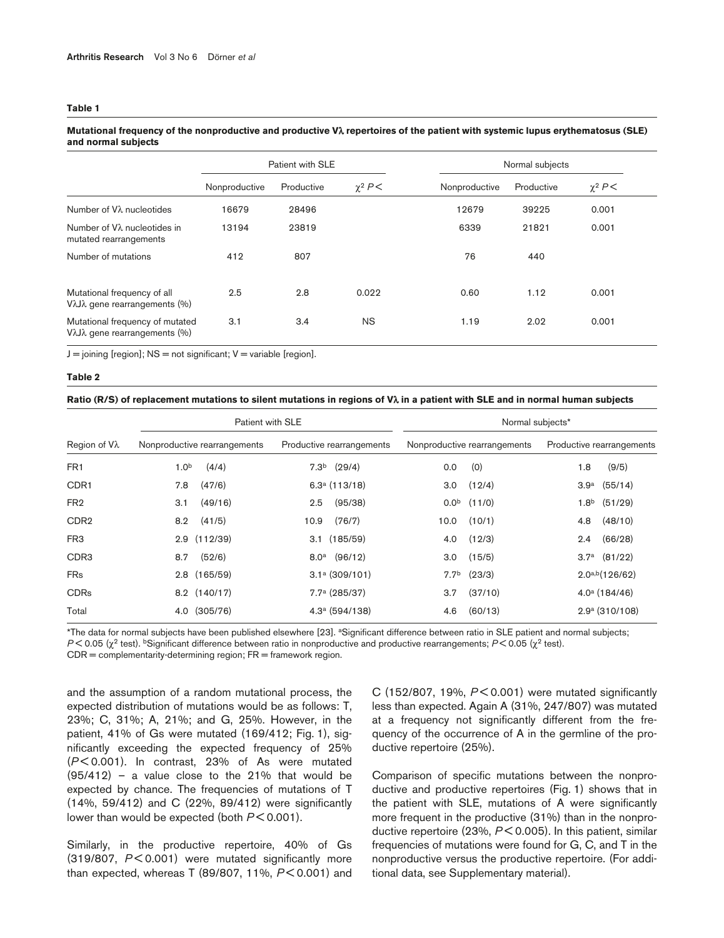#### **Table 1**

## Patient with SLE Normal subjects Nonproductive Productive χ<sup>2</sup> *P* < Nonproductive Productive χ<sup>2</sup> *P* < Number of Vλ nucleotides 16679 28496 12679 39225 0.001 Number of Vλ nucleotides in 13194 23819 6339 21821 0.001 mutated rearrangements Number of mutations  $412$  807 807 76 440 Mutational frequency of all 2.5 2.8 0.022 0.60 1.12 0.001 VλJλ gene rearrangements (%) Mutational frequency of mutated  $3.1$   $3.4$  NS  $1.19$   $2.02$   $0.001$ VλJλ gene rearrangements (%)

## **Mutational frequency of the nonproductive and productive V**λ **repertoires of the patient with systemic lupus erythematosus (SLE) and normal subjects**

 $J =$  joining [region];  $NS =$  not significant;  $V =$  variable [region].

#### **Table 2**

#### **Ratio (R/S) of replacement mutations to silent mutations in regions of V**λ **in a patient with SLE and in normal human subjects**

|                  | Patient with SLE             |                           | Normal subjects*             |                             |  |  |
|------------------|------------------------------|---------------------------|------------------------------|-----------------------------|--|--|
| Region of Vλ     | Nonproductive rearrangements | Productive rearrangements | Nonproductive rearrangements | Productive rearrangements   |  |  |
| FR <sub>1</sub>  | 1.0 <sup>b</sup><br>(4/4)    | $7.3b$ (29/4)             | (0)<br>0.0                   | 1.8<br>(9/5)                |  |  |
| CDR <sub>1</sub> | (47/6)<br>7.8                | 6.3a(113/18)              | (12/4)<br>3.0                | (55/14)<br>3.9 <sup>a</sup> |  |  |
| FR <sub>2</sub>  | (49/16)<br>3.1               | (95/38)<br>2.5            | (11/0)<br>0.0 <sup>b</sup>   | 1.8 <sup>b</sup><br>(51/29) |  |  |
| CDR <sub>2</sub> | (41/5)<br>8.2                | (76/7)<br>10.9            | (10/1)<br>10.0               | (48/10)<br>4.8              |  |  |
| FR <sub>3</sub>  | (112/39)<br>2.9              | $3.1$ $(185/59)$          | (12/3)<br>4.0                | (66/28)<br>2.4              |  |  |
| CDR <sub>3</sub> | (52/6)<br>8.7                | $8.0^a$ (96/12)           | (15/5)<br>3.0                | $3.7^a$ $(81/22)$           |  |  |
| <b>FRs</b>       | $2.8$ (165/59)               | $3.1a$ (309/101)          | (23/3)<br>7.7 <sup>b</sup>   | $2.0^{a,b}$ (126/62)        |  |  |
| <b>CDRs</b>      | 8.2 (140/17)                 | 7.7 <sup>a</sup> (285/37) | (37/10)<br>3.7               | $4.0^{\text{a}}$ (184/46)   |  |  |
| Total            | (305/76)<br>4.0              | $4.3a$ (594/138)          | (60/13)<br>4.6               | $2.9a$ (310/108)            |  |  |

\*The data for normal subjects have been published elsewhere [23]. aSignificant difference between ratio in SLE patient and normal subjects; *P* < 0.05 (χ<sup>2</sup> test). bSignificant difference between ratio in nonproductive and productive rearrangements; *P* < 0.05 (χ<sup>2</sup> test).  $CDR =$  complementarity-determining region;  $FR =$  framework region.

and the assumption of a random mutational process, the expected distribution of mutations would be as follows: T, 23%; C, 31%; A, 21%; and G, 25%. However, in the patient, 41% of Gs were mutated (169/412; Fig. 1), significantly exceeding the expected frequency of 25% (*P* < 0.001). In contrast, 23% of As were mutated  $(95/412)$  – a value close to the 21% that would be expected by chance. The frequencies of mutations of T (14%, 59/412) and C (22%, 89/412) were significantly lower than would be expected (both  $P < 0.001$ ).

Similarly, in the productive repertoire, 40% of Gs (319/807, *P* < 0.001) were mutated significantly more than expected, whereas T (89/807, 11%, *P* < 0.001) and

C (152/807, 19%, *P* < 0.001) were mutated significantly less than expected. Again A (31%, 247/807) was mutated at a frequency not significantly different from the frequency of the occurrence of A in the germline of the productive repertoire (25%).

Comparison of specific mutations between the nonproductive and productive repertoires (Fig. 1) shows that in the patient with SLE, mutations of A were significantly more frequent in the productive (31%) than in the nonproductive repertoire (23%, *P* < 0.005). In this patient, similar frequencies of mutations were found for G, C, and T in the nonproductive versus the productive repertoire. (For additional data, see Supplementary material).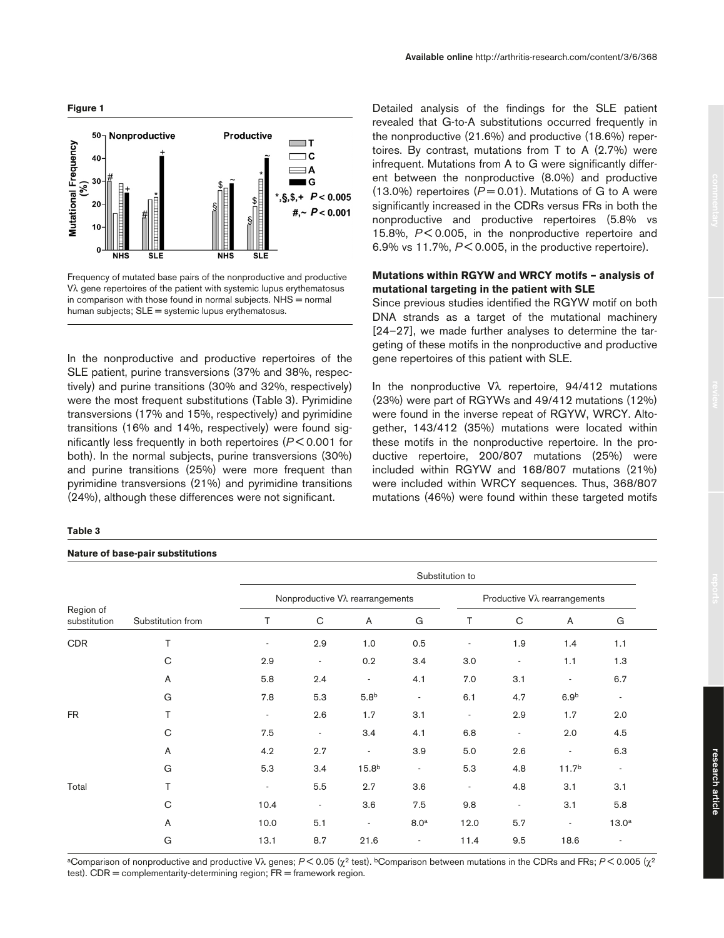

Frequency of mutated base pairs of the nonproductive and productive Vλ gene repertoires of the patient with systemic lupus erythematosus in comparison with those found in normal subjects.  $N<sub>HS</sub>$  = normal human subjects; SLE = systemic lupus erythematosus.

In the nonproductive and productive repertoires of the SLE patient, purine transversions (37% and 38%, respectively) and purine transitions (30% and 32%, respectively) were the most frequent substitutions (Table 3). Pyrimidine transversions (17% and 15%, respectively) and pyrimidine transitions (16% and 14%, respectively) were found significantly less frequently in both repertoires (*P* < 0.001 for both). In the normal subjects, purine transversions (30%) and purine transitions (25%) were more frequent than pyrimidine transversions (21%) and pyrimidine transitions (24%), although these differences were not significant.

#### **Table 3**

#### **Nature of base-pair substitutions**

Detailed analysis of the findings for the SLE patient revealed that G-to-A substitutions occurred frequently in the nonproductive (21.6%) and productive (18.6%) repertoires. By contrast, mutations from T to A (2.7%) were infrequent. Mutations from A to G were significantly different between the nonproductive (8.0%) and productive (13.0%) repertoires  $(P = 0.01)$ . Mutations of G to A were significantly increased in the CDRs versus FRs in both the nonproductive and productive repertoires (5.8% vs 15.8%, *P* < 0.005, in the nonproductive repertoire and

## **Mutations within RGYW and WRCY motifs – analysis of mutational targeting in the patient with SLE**

6.9% vs 11.7%, *P* < 0.005, in the productive repertoire).

Since previous studies identified the RGYW motif on both DNA strands as a target of the mutational machinery [24–27], we made further analyses to determine the targeting of these motifs in the nonproductive and productive gene repertoires of this patient with SLE.

In the nonproductive  $V\lambda$  repertoire, 94/412 mutations (23%) were part of RGYWs and 49/412 mutations (12%) were found in the inverse repeat of RGYW, WRCY. Altogether, 143/412 (35%) mutations were located within these motifs in the nonproductive repertoire. In the productive repertoire, 200/807 mutations (25%) were included within RGYW and 168/807 mutations (21%) were included within WRCY sequences. Thus, 368/807 mutations (46%) were found within these targeted motifs

| Region of<br>substitution | Substitution from | Substitution to                 |                          |                          |                          |                                       |                          |                          |                          |  |
|---------------------------|-------------------|---------------------------------|--------------------------|--------------------------|--------------------------|---------------------------------------|--------------------------|--------------------------|--------------------------|--|
|                           |                   | Nonproductive Vλ rearrangements |                          |                          |                          | Productive V $\lambda$ rearrangements |                          |                          |                          |  |
|                           |                   | T                               | C                        | A                        | G                        | Τ                                     | C                        | A                        | G                        |  |
| CDR                       | T                 |                                 | 2.9                      | 1.0                      | 0.5                      |                                       | 1.9                      | 1.4                      | 1.1                      |  |
|                           | $\mathsf{C}$      | 2.9                             | $\overline{\phantom{a}}$ | 0.2                      | 3.4                      | 3.0                                   | $\overline{\phantom{a}}$ | 1.1                      | 1.3                      |  |
|                           | A                 | 5.8                             | 2.4                      | $\overline{\phantom{a}}$ | 4.1                      | 7.0                                   | 3.1                      | $\overline{\phantom{a}}$ | 6.7                      |  |
|                           | G                 | 7.8                             | 5.3                      | 5.8 <sup>b</sup>         | $\overline{\phantom{a}}$ | 6.1                                   | 4.7                      | 6.9 <sup>b</sup>         |                          |  |
| <b>FR</b>                 | T                 | $\overline{\phantom{a}}$        | 2.6                      | 1.7                      | 3.1                      | $\overline{\phantom{a}}$              | 2.9                      | 1.7                      | 2.0                      |  |
|                           | C                 | 7.5                             | $\overline{\phantom{a}}$ | 3.4                      | 4.1                      | 6.8                                   | $\overline{\phantom{a}}$ | 2.0                      | 4.5                      |  |
|                           | A                 | 4.2                             | 2.7                      | $\overline{\phantom{a}}$ | 3.9                      | 5.0                                   | 2.6                      | $\overline{\phantom{a}}$ | 6.3                      |  |
|                           | G                 | 5.3                             | 3.4                      | 15.8 <sup>b</sup>        | $\overline{\phantom{a}}$ | 5.3                                   | 4.8                      | 11.7 <sup>b</sup>        | $\overline{\phantom{a}}$ |  |
| Total                     | T                 | $\overline{\phantom{a}}$        | 5.5                      | 2.7                      | 3.6                      | ۰                                     | 4.8                      | 3.1                      | 3.1                      |  |
|                           | C                 | 10.4                            | $\overline{\phantom{a}}$ | 3.6                      | 7.5                      | 9.8                                   | $\overline{\phantom{a}}$ | 3.1                      | 5.8                      |  |
|                           | A                 | 10.0                            | 5.1                      | $\overline{\phantom{a}}$ | 8.0 <sup>a</sup>         | 12.0                                  | 5.7                      | $\overline{\phantom{a}}$ | 13.0 <sup>a</sup>        |  |
|                           | G                 | 13.1                            | 8.7                      | 21.6                     | $\overline{\phantom{a}}$ | 11.4                                  | 9.5                      | 18.6                     |                          |  |

aComparison of nonproductive and productive Vλ genes; *P* < 0.05 (χ<sup>2</sup> test). bComparison between mutations in the CDRs and FRs; *P* < 0.005 (χ<sup>2</sup> test).  $CDR = complementarity-determining region; FR = framework region.$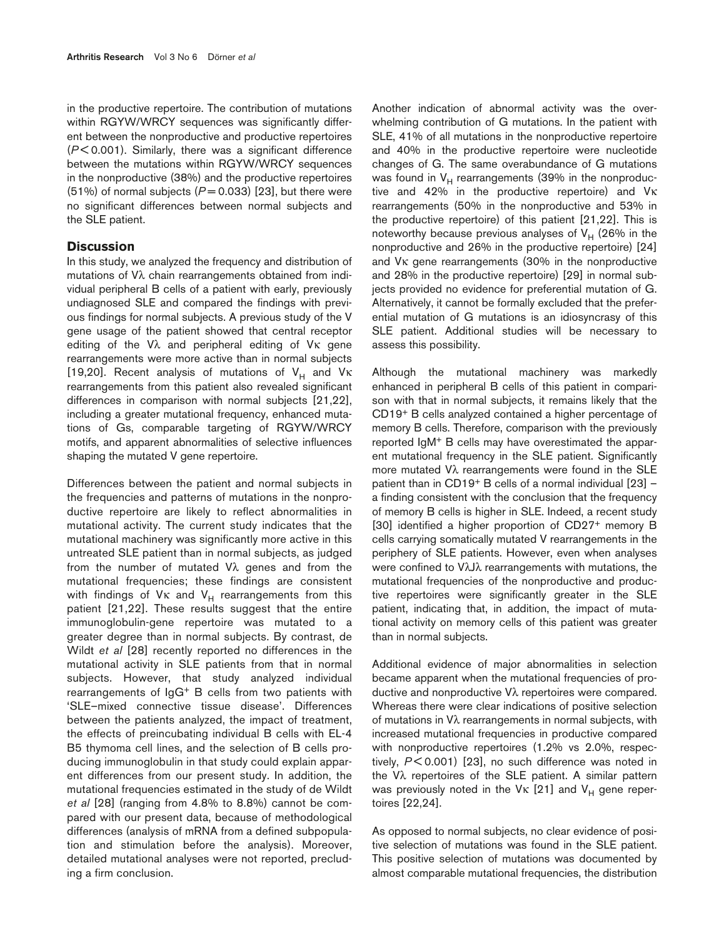in the productive repertoire. The contribution of mutations within RGYW/WRCY sequences was significantly different between the nonproductive and productive repertoires (*P* < 0.001). Similarly, there was a significant difference between the mutations within RGYW/WRCY sequences in the nonproductive (38%) and the productive repertoires  $(51%)$  of normal subjects  $(P = 0.033)$  [23], but there were no significant differences between normal subjects and the SLE patient.

## **Discussion**

In this study, we analyzed the frequency and distribution of mutations of Vλ chain rearrangements obtained from individual peripheral B cells of a patient with early, previously undiagnosed SLE and compared the findings with previous findings for normal subjects. A previous study of the V gene usage of the patient showed that central receptor editing of the Vλ and peripheral editing of Vκ gene rearrangements were more active than in normal subjects [19,20]. Recent analysis of mutations of  $V_H$  and  $V_K$ rearrangements from this patient also revealed significant differences in comparison with normal subjects [21,22], including a greater mutational frequency, enhanced mutations of Gs, comparable targeting of RGYW/WRCY motifs, and apparent abnormalities of selective influences shaping the mutated V gene repertoire.

Differences between the patient and normal subjects in the frequencies and patterns of mutations in the nonproductive repertoire are likely to reflect abnormalities in mutational activity. The current study indicates that the mutational machinery was significantly more active in this untreated SLE patient than in normal subjects, as judged from the number of mutated Vλ genes and from the mutational frequencies; these findings are consistent with findings of  $V_K$  and  $V_H$  rearrangements from this patient [21,22]. These results suggest that the entire immunoglobulin-gene repertoire was mutated to a greater degree than in normal subjects. By contrast, de Wildt *et al* [28] recently reported no differences in the mutational activity in SLE patients from that in normal subjects. However, that study analyzed individual rearrangements of IgG+ B cells from two patients with 'SLE–mixed connective tissue disease'. Differences between the patients analyzed, the impact of treatment, the effects of preincubating individual B cells with EL-4 B5 thymoma cell lines, and the selection of B cells producing immunoglobulin in that study could explain apparent differences from our present study. In addition, the mutational frequencies estimated in the study of de Wildt *et al* [28] (ranging from 4.8% to 8.8%) cannot be compared with our present data, because of methodological differences (analysis of mRNA from a defined subpopulation and stimulation before the analysis). Moreover, detailed mutational analyses were not reported, precluding a firm conclusion.

Another indication of abnormal activity was the overwhelming contribution of G mutations. In the patient with SLE, 41% of all mutations in the nonproductive repertoire and 40% in the productive repertoire were nucleotide changes of G. The same overabundance of G mutations was found in  $V_H$  rearrangements (39% in the nonproductive and 42% in the productive repertoire) and Vκ rearrangements (50% in the nonproductive and 53% in the productive repertoire) of this patient [21,22]. This is noteworthy because previous analyses of  $V_H$  (26% in the nonproductive and 26% in the productive repertoire) [24] and Vκ gene rearrangements (30% in the nonproductive and 28% in the productive repertoire) [29] in normal subjects provided no evidence for preferential mutation of G. Alternatively, it cannot be formally excluded that the preferential mutation of G mutations is an idiosyncrasy of this SLE patient. Additional studies will be necessary to assess this possibility.

Although the mutational machinery was markedly enhanced in peripheral B cells of this patient in comparison with that in normal subjects, it remains likely that the CD19+ B cells analyzed contained a higher percentage of memory B cells. Therefore, comparison with the previously reported IgM+ B cells may have overestimated the apparent mutational frequency in the SLE patient. Significantly more mutated Vλ rearrangements were found in the SLE patient than in CD19+ B cells of a normal individual [23] – a finding consistent with the conclusion that the frequency of memory B cells is higher in SLE. Indeed, a recent study [30] identified a higher proportion of CD27+ memory B cells carrying somatically mutated V rearrangements in the periphery of SLE patients. However, even when analyses were confined to VλJλ rearrangements with mutations, the mutational frequencies of the nonproductive and productive repertoires were significantly greater in the SLE patient, indicating that, in addition, the impact of mutational activity on memory cells of this patient was greater than in normal subjects.

Additional evidence of major abnormalities in selection became apparent when the mutational frequencies of productive and nonproductive Vλ repertoires were compared. Whereas there were clear indications of positive selection of mutations in Vλ rearrangements in normal subjects, with increased mutational frequencies in productive compared with nonproductive repertoires (1.2% vs 2.0%, respectively, *P* < 0.001) [23], no such difference was noted in the Vλ repertoires of the SLE patient. A similar pattern was previously noted in the V $\kappa$  [21] and V<sub>H</sub> gene repertoires [22,24].

As opposed to normal subjects, no clear evidence of positive selection of mutations was found in the SLE patient. This positive selection of mutations was documented by almost comparable mutational frequencies, the distribution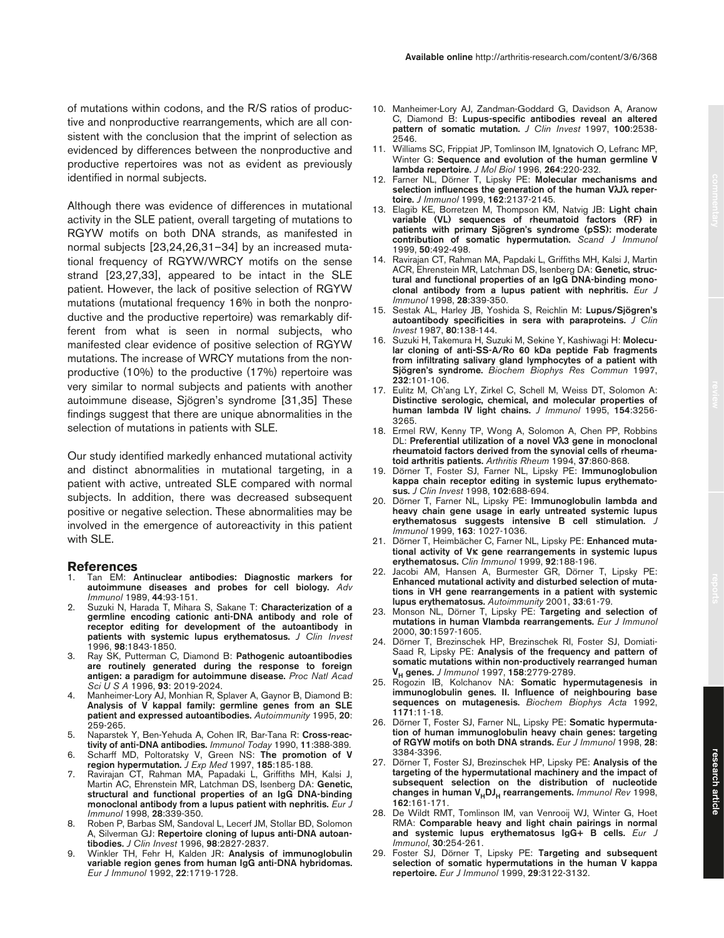Although there was evidence of differences in mutational activity in the SLE patient, overall targeting of mutations to RGYW motifs on both DNA strands, as manifested in normal subjects [23,24,26,31–34] by an increased mutational frequency of RGYW/WRCY motifs on the sense strand [23,27,33], appeared to be intact in the SLE patient. However, the lack of positive selection of RGYW mutations (mutational frequency 16% in both the nonproductive and the productive repertoire) was remarkably different from what is seen in normal subjects, who manifested clear evidence of positive selection of RGYW mutations. The increase of WRCY mutations from the nonproductive (10%) to the productive (17%) repertoire was very similar to normal subjects and patients with another autoimmune disease, Sjögren's syndrome [31,35] These findings suggest that there are unique abnormalities in the selection of mutations in patients with SLE.

Our study identified markedly enhanced mutational activity and distinct abnormalities in mutational targeting, in a patient with active, untreated SLE compared with normal subjects. In addition, there was decreased subsequent positive or negative selection. These abnormalities may be involved in the emergence of autoreactivity in this patient with SLE.

#### **References**

- 1. Tan EM: **Antinuclear antibodies: Diagnostic markers for autoimmune diseases and probes for cell biology.** *Adv Immunol* 1989, **44**:93-151.
- 2. Suzuki N, Harada T, Mihara S, Sakane T: **Characterization of a germline encoding cationic anti-DNA antibody and role of receptor editing for development of the autoantibody in patients with systemic lupus erythematosus.** *J Clin Invest* 1996, **98**:1843-1850.
- 3. Ray SK, Putterman C, Diamond B: **Pathogenic autoantibodies are routinely generated during the response to foreign antigen: a paradigm for autoimmune disease.** *Proc Natl Acad Sci U S A* 1996, **93**: 2019-2024.
- Manheimer-Lory AJ, Monhian R, Splaver A, Gaynor B, Diamond B: **Analysis of V kappaI family: germline genes from an SLE patient and expressed autoantibodies.** *Autoimmunity* 1995, **20**: 259-265.
- 5. Naparstek Y, Ben-Yehuda A, Cohen IR, Bar-Tana R: **Cross-reactivity of anti-DNA antibodies.** *Immunol Today* 1990, **11**:388-389.
- 6. Scharff MD, Poltoratsky V, Green NS: **The promotion of V region hypermutation.** *J Exp Med* 1997, **185**:185-188.
- 7. Ravirajan CT, Rahman MA, Papadaki L, Griffiths MH, Kalsi J, Martin AC, Ehrenstein MR, Latchman DS, Isenberg DA: **Genetic, structural and functional properties of an IgG DNA-binding monoclonal antibody from a lupus patient with nephritis.** *Eur J Immunol* 1998, **28**:339-350.
- 8. Roben P, Barbas SM, Sandoval L, Lecerf JM, Stollar BD, Solomon A, Silverman GJ: **Repertoire cloning of lupus anti-DNA autoantibodies.** *J Clin Invest* 1996, **98**:2827-2837.
- 9. Winkler TH, Fehr H, Kalden JR: **Analysis of immunoglobulin variable region genes from human IgG anti-DNA hybridomas.** *Eur J Immunol* 1992, **22**:1719-1728.
- 10. Manheimer-Lory AJ, Zandman-Goddard G, Davidson A, Aranow C, Diamond B: **Lupus-specific antibodies reveal an altered pattern of somatic mutation.** *J Clin Invest* 1997, **100**:2538- 2546.
- 11. Williams SC, Frippiat JP, Tomlinson IM, Ignatovich O, Lefranc MP, Winter G: **Sequence and evolution of the human germline V lambda repertoire.** *J Mol Biol* 1996, **264**:220-232.
- 12. Farner NL, Dörner T, Lipsky PE: **Molecular mechanisms and selection influences the generation of the human V**λ**J**λ **repertoire.** *J Immunol* 1999, **162**:2137-2145.
- 13. Elagib KE, Borretzen M, Thompson KM, Natvig JB: **Light chain variable (VL) sequences of rheumatoid factors (RF) in patients with primary Sjögren's syndrome (pSS): moderate contribution of somatic hypermutation.** *Scand J Immunol* 1999, **50**:492-498.
- 14. Ravirajan CT, Rahman MA, Papdaki L, Griffiths MH, Kalsi J, Martin ACR, Ehrenstein MR, Latchman DS, Isenberg DA: **Genetic, structural and functional properties of an IgG DNA-binding monoclonal antibody from a lupus patient with nephritis.** *Eur J Immunol* 1998, **28**:339-350.
- 15. Sestak AL, Harley JB, Yoshida S, Reichlin M: **Lupus/Sjögren's autoantibody specificities in sera with paraproteins.** *J Clin Invest* 1987, **80**:138-144.
- 16. Suzuki H, Takemura H, Suzuki M, Sekine Y, Kashiwagi H: **Molecular cloning of anti-SS-A/Ro 60 kDa peptide Fab fragments from infiltrating salivary gland lymphocytes of a patient with Sjögren's syndrome.** *Biochem Biophys Res Commun* 1997, **232**:101-106.
- 17. Eulitz M, Ch'ang LY, Zirkel C, Schell M, Weiss DT, Solomon A: **Distinctive serologic, chemical, and molecular properties of human lambda IV light chains.** *J Immunol* 1995, **154**:3256- 3265.
- 18. Ermel RW, Kenny TP, Wong A, Solomon A, Chen PP, Robbins DL: **Preferential utilization of a novel V**λ**3 gene in monoclonal rheumatoid factors derived from the synovial cells of rheumatoid arthritis patients.** *Arthritis Rheum* 1994, **37**:860-868.
- 19. Dörner T, Foster SJ, Farner NL, Lipsky PE: **Immunoglobulion kappa chain receptor editing in systemic lupus erythematosus.** *J Clin Invest* 1998, **102**:688-694.
- 20. Dörner T, Farner NL, Lipsky PE: **Immunoglobulin lambda and heavy chain gene usage in early untreated systemic lupus erythematosus suggests intensive B cell stimulation.** *J Immunol* 1999, **163**: 1027-1036.
- 21. Dörner T, Heimbächer C, Farner NL, Lipsky PE: **Enhanced mutational activity of V**κ **gene rearrangements in systemic lupus erythematosus.** *Clin Immunol* 1999, **92**:188-196.
- 22. Jacobi AM, Hansen A, Burmester GR, Dörner T, Lipsky PE: **Enhanced mutational activity and disturbed selection of mutations in VH gene rearrangements in a patient with systemic lupus erythematosus.** *Autoimmunity* 2001, **33**:61-79.
- 23. Monson NL, Dörner T, Lipsky PE: **Targeting and selection of mutations in human Vlambda rearrangements.** *Eur J Immunol* 2000, **30**:1597-1605.
- 24. Dörner T, Brezinschek HP, Brezinschek RI, Foster SJ, Domiati-Saad R, Lipsky PE: **Analysis of the frequency and pattern of somatic mutations within non-productively rearranged human VH genes.** *J Immunol* 1997, **158**:2779-2789.
- 25. Rogozin IB, Kolchanov NA: **Somatic hypermutagenesis in immunoglobulin genes. II. Influence of neighbouring base sequences on mutagenesis.** *Biochem Biophys Acta* 1992, **1171**:11-18.
- 26. Dörner T, Foster SJ, Farner NL, Lipsky PE: **Somatic hypermutation of human immunoglobulin heavy chain genes: targeting of RGYW motifs on both DNA strands.** *Eur J Immunol* 1998, **28**: 3384-3396.
- 27. Dörner T, Foster SJ, Brezinschek HP, Lipsky PE: **Analysis of the targeting of the hypermutational machinery and the impact of subsequent selection on the distribution of nucleotide changes in human V<sub>H</sub>DJ<sub>H</sub> rearrangements.** *Immunol Rev* 1998, **162**:161-171.
- 28. De Wildt RMT, Tomlinson IM, van Venrooij WJ, Winter G, Hoet RMA: **Comparable heavy and light chain pairings in normal and systemic lupus erythematosus IgG+ B cells.** *Eur J Immunol*, **30**:254-261.
- 29. Foster SJ, Dörner T, Lipsky PE: **Targeting and subsequent selection of somatic hypermutations in the human V kappa repertoire.** *Eur J Immunol* 1999, **29**:3122-3132.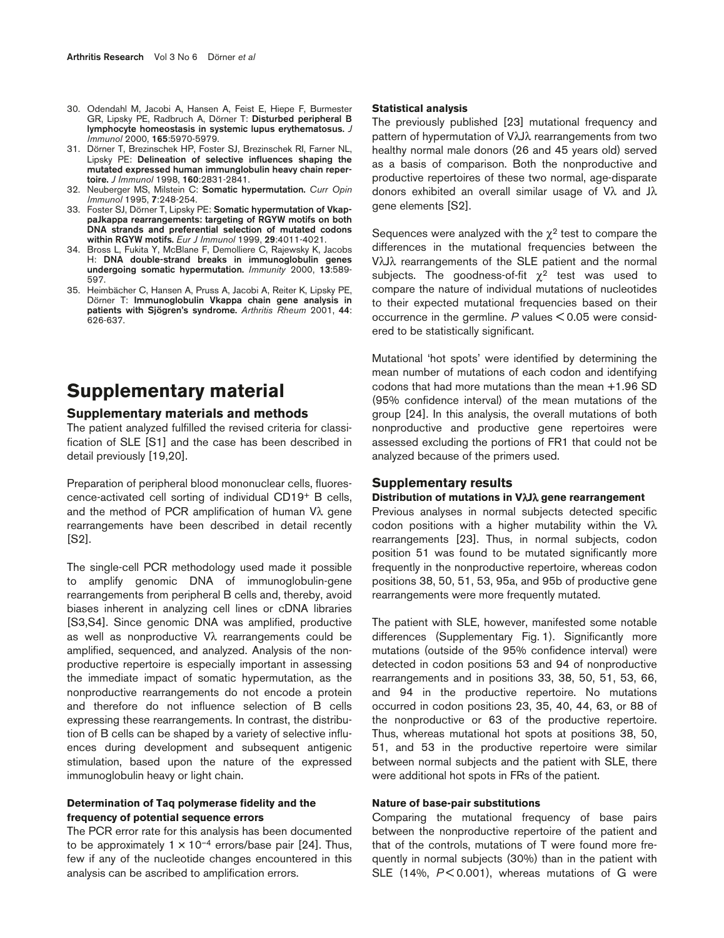- 30. Odendahl M, Jacobi A, Hansen A, Feist E, Hiepe F, Burmester GR, Lipsky PE, Radbruch A, Dörner T: **Disturbed peripheral B lymphocyte homeostasis in systemic lupus erythematosus.** *J Immunol* 2000, **165**:5970-5979.
- 31. Dörner T, Brezinschek HP, Foster SJ, Brezinschek RI, Farner NL, Lipsky PE: **Delineation of selective influences shaping the mutated expressed human immunglobulin heavy chain repertoire.** *J Immunol* 1998, **160**:2831-2841.
- 32. Neuberger MS, Milstein C: **Somatic hypermutation.** *Curr Opin Immunol* 1995, **7**:248-254.
- 33. Foster SJ, Dörner T, Lipsky PE: **Somatic hypermutation of VkappaJkappa rearrangements: targeting of RGYW motifs on both DNA strands and preferential selection of mutated codons within RGYW motifs.** *Eur J Immunol* 1999, **29**:4011-4021.
- 34. Bross L, Fukita Y, McBlane F, Demolliere C, Rajewsky K, Jacobs H: **DNA double-strand breaks in immunoglobulin genes undergoing somatic hypermutation.** *Immunity* 2000, **13**:589- 597.
- 35. Heimbächer C, Hansen A, Pruss A, Jacobi A, Reiter K, Lipsky PE, Dörner T: **Immunoglobulin Vkappa chain gene analysis in patients with Sjögren's syndrome.** *Arthritis Rheum* 2001, **44**: 626-637.

# **Supplementary material**

## **Supplementary materials and methods**

The patient analyzed fulfilled the revised criteria for classification of SLE [S1] and the case has been described in detail previously [19,20].

Preparation of peripheral blood mononuclear cells, fluorescence-activated cell sorting of individual CD19+ B cells, and the method of PCR amplification of human  $V\lambda$  gene rearrangements have been described in detail recently [S2].

The single-cell PCR methodology used made it possible to amplify genomic DNA of immunoglobulin-gene rearrangements from peripheral B cells and, thereby, avoid biases inherent in analyzing cell lines or cDNA libraries [S3,S4]. Since genomic DNA was amplified, productive as well as nonproductive Vλ rearrangements could be amplified, sequenced, and analyzed. Analysis of the nonproductive repertoire is especially important in assessing the immediate impact of somatic hypermutation, as the nonproductive rearrangements do not encode a protein and therefore do not influence selection of B cells expressing these rearrangements. In contrast, the distribution of B cells can be shaped by a variety of selective influences during development and subsequent antigenic stimulation, based upon the nature of the expressed immunoglobulin heavy or light chain.

## **Determination of Taq polymerase fidelity and the frequency of potential sequence errors**

The PCR error rate for this analysis has been documented to be approximately  $1 \times 10^{-4}$  errors/base pair [24]. Thus, few if any of the nucleotide changes encountered in this analysis can be ascribed to amplification errors.

#### **Statistical analysis**

The previously published [23] mutational frequency and pattern of hypermutation of VλJλ rearrangements from two healthy normal male donors (26 and 45 years old) served as a basis of comparison. Both the nonproductive and productive repertoires of these two normal, age-disparate donors exhibited an overall similar usage of Vλ and Jλ gene elements [S2].

Sequences were analyzed with the  $\chi^2$  test to compare the differences in the mutational frequencies between the VλJλ rearrangements of the SLE patient and the normal subjects. The goodness-of-fit  $\chi^2$  test was used to compare the nature of individual mutations of nucleotides to their expected mutational frequencies based on their occurrence in the germline. *P* values < 0.05 were considered to be statistically significant.

Mutational 'hot spots' were identified by determining the mean number of mutations of each codon and identifying codons that had more mutations than the mean +1.96 SD (95% confidence interval) of the mean mutations of the group [24]. In this analysis, the overall mutations of both nonproductive and productive gene repertoires were assessed excluding the portions of FR1 that could not be analyzed because of the primers used.

#### **Supplementary results**

#### **Distribution of mutations in V**λ**J**λ **gene rearrangement**

Previous analyses in normal subjects detected specific codon positions with a higher mutability within the Vλ rearrangements [23]. Thus, in normal subjects, codon position 51 was found to be mutated significantly more frequently in the nonproductive repertoire, whereas codon positions 38, 50, 51, 53, 95a, and 95b of productive gene rearrangements were more frequently mutated.

The patient with SLE, however, manifested some notable differences (Supplementary Fig. 1). Significantly more mutations (outside of the 95% confidence interval) were detected in codon positions 53 and 94 of nonproductive rearrangements and in positions 33, 38, 50, 51, 53, 66, and 94 in the productive repertoire. No mutations occurred in codon positions 23, 35, 40, 44, 63, or 88 of the nonproductive or 63 of the productive repertoire. Thus, whereas mutational hot spots at positions 38, 50, 51, and 53 in the productive repertoire were similar between normal subjects and the patient with SLE, there were additional hot spots in FRs of the patient.

## **Nature of base-pair substitutions**

Comparing the mutational frequency of base pairs between the nonproductive repertoire of the patient and that of the controls, mutations of T were found more frequently in normal subjects (30%) than in the patient with SLE (14%,  $P < 0.001$ ), whereas mutations of G were